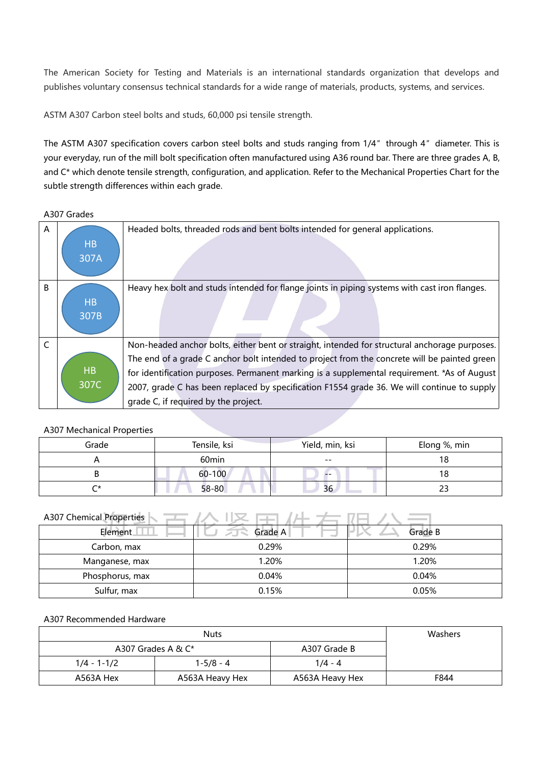The American Society for Testing and Materials is an international standards organization that develops and publishes voluntary consensus technical standards for a wide range of materials, products, systems, and services.

ASTM A307 Carbon steel bolts and studs, 60,000 psi tensile strength.

The ASTM A307 specification covers carbon steel bolts and studs ranging from 1/4″ through 4″ diameter. This is your everyday, run of the mill bolt specification often manufactured using A36 round bar. There are three grades A, B, and C\* which denote tensile strength, configuration, and application. Refer to the Mechanical Properties Chart for the subtle strength differences within each grade.

A307 Grades

| A | <b>HB</b><br>307A | Headed bolts, threaded rods and bent bolts intended for general applications.                                                                                                                                                                                                                                                                                                               |
|---|-------------------|---------------------------------------------------------------------------------------------------------------------------------------------------------------------------------------------------------------------------------------------------------------------------------------------------------------------------------------------------------------------------------------------|
| B | <b>HB</b><br>307B | Heavy hex bolt and studs intended for flange joints in piping systems with cast iron flanges.                                                                                                                                                                                                                                                                                               |
|   | <b>HB</b><br>307C | Non-headed anchor bolts, either bent or straight, intended for structural anchorage purposes.<br>The end of a grade C anchor bolt intended to project from the concrete will be painted green<br>for identification purposes. Permanent marking is a supplemental requirement. *As of August<br>2007, grade C has been replaced by specification F1554 grade 36. We will continue to supply |
|   |                   | grade C, if required by the project.                                                                                                                                                                                                                                                                                                                                                        |

## A307 Mechanical Properties

| Grade  | Tensile, ksi      | Yield, min, ksi | Elong %, min |
|--------|-------------------|-----------------|--------------|
|        | 60 <sub>min</sub> | $- -$           | 18           |
|        | $60 - 100$        | $- -$           |              |
| $\sim$ | $58 - 80$         | 36              | بے           |

## A307 Chemical Properties  $\sqrt{1 - \frac{1}{2}}$   $\sqrt{1 - \frac{1}{2}}$   $\sqrt{1 - \frac{1}{2}}$   $\sqrt{1 - \frac{1}{2}}$   $\sqrt{1 - \frac{1}{2}}$

| Element.        | Grade A | Grade B |
|-----------------|---------|---------|
| Carbon, max     | 0.29%   | 0.29%   |
| Manganese, max  | 1.20%   | 1.20%   |
| Phosphorus, max | 0.04%   | 0.04%   |
| Sulfur, max     | 0.15%   | 0.05%   |

## A307 Recommended Hardware

|             | Washers               |                 |      |  |
|-------------|-----------------------|-----------------|------|--|
|             | A307 Grades A & $C^*$ | A307 Grade B    |      |  |
| 1/4 - 1-1/2 | 1-5/8 - 4             | 1/4 - 4         |      |  |
| A563A Hex   | A563A Heavy Hex       | A563A Heavy Hex | F844 |  |